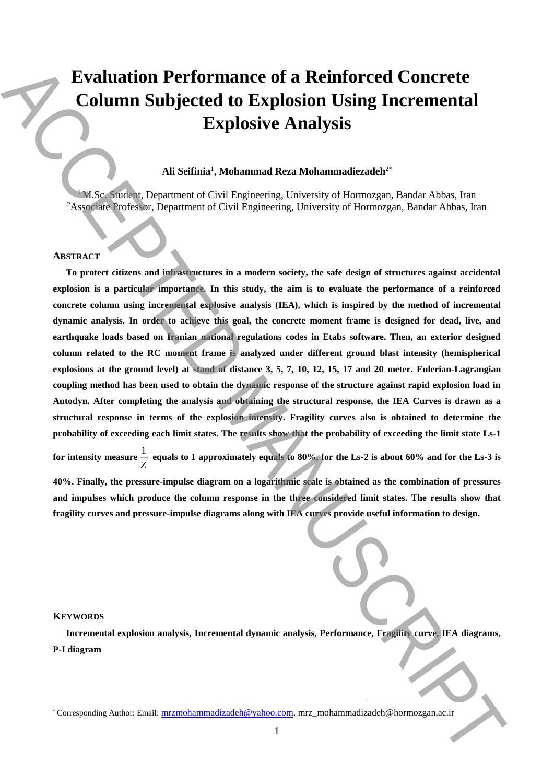# **Evaluation Performance of a Reinforced Concrete Column Subjected to Explosion Using Incremental Explosive Analysis**

# **Ali Seifinia<sup>1</sup> , Mohammad Reza Mohammadiezadeh<sup>2</sup>**\*

<sup>1</sup>M.Sc. Student, Department of Civil Engineering, University of Hormozgan, Bandar Abbas, Iran <sup>2</sup>Associate Professor, Department of Civil Engineering, University of Hormozgan, Bandar Abbas, Iran

#### **ABSTRACT**

**To protect citizens and infrastructures in a modern society, the safe design of structures against accidental explosion is a particular importance. In this study, the aim is to evaluate the performance of a reinforced concrete column using incremental explosive analysis (IEA), which is inspired by the method of incremental dynamic analysis. In order to achieve this goal, the concrete moment frame is designed for dead, live, and earthquake loads based on Iranian national regulations codes in Etabs software. Then, an exterior designed column related to the RC moment frame is analyzed under different ground blast intensity (hemispherical explosions at the ground level) at stand of distance 3, 5, 7, 10, 12, 15, 17 and 20 meter. Eulerian-Lagrangian coupling method has been used to obtain the dynamic response of the structure against rapid explosion load in Autodyn. After completing the analysis and obtaining the structural response, the IEA Curves is drawn as a structural response in terms of the explosion intensity. Fragility curves also is obtained to determine the probability of exceeding each limit states. The results show that the probability of exceeding the limit state Ls-1**  Evaluation Performance of a Reinforced Concrete Column Subjected to Explosion Using Incremental<br>Explosive Analysis<br>Explosive Analysis<br>Associates Authorities and Evaluation (Correlation Manuscript Correlation Correlation C

**for intensity measure** 1  $\frac{1}{Z}$  equals to 1 approximately equals to 80%, for the Ls-2 is about 60% and for the Ls-3 is **40%. Finally, the pressure-impulse diagram on a logarithmic scale is obtained as the combination of pressures and impulses which produce the column response in the three considered limit states. The results show that fragility curves and pressure-impulse diagrams along with IEA curves provide useful information to design.**

#### **KEYWORDS**

**Incremental explosion analysis, Incremental dynamic analysis, Performance, Fragility curve, IEA diagrams, P-I diagram**

**.**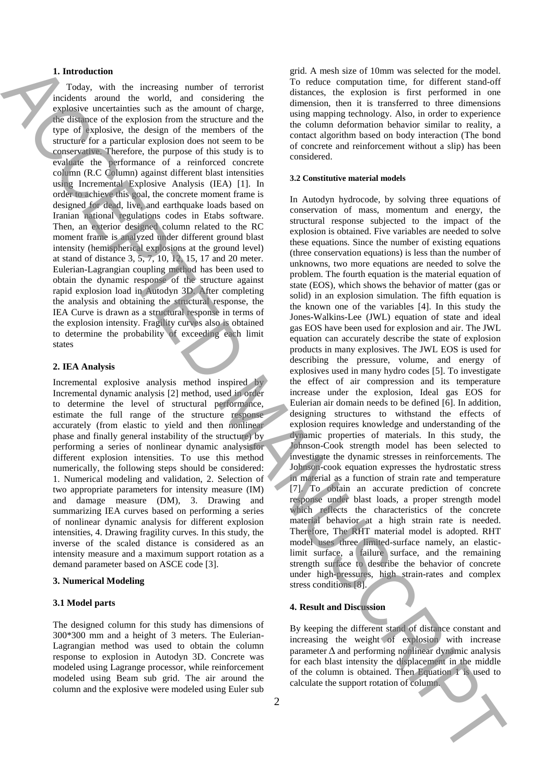#### **1. Introduction**

Today, with the increasing number of terrorist incidents around the world, and considering the explosive uncertainties such as the amount of charge, the distance of the explosion from the structure and the type of explosive, the design of the members of the structure for a particular explosion does not seem to be conservative. Therefore, the purpose of this study is to evaluate the performance of a reinforced concrete column (R.C Column) against different blast intensities using Incremental Explosive Analysis (IEA) [1]. In order to achieve this goal, the concrete moment frame is designed for dead, live, and earthquake loads based on Iranian national regulations codes in Etabs software. Then, an exterior designed column related to the RC moment frame is analyzed under different ground blast intensity (hemispherical explosions at the ground level) at stand of distance 3, 5, 7, 10, 12, 15, 17 and 20 meter. Eulerian-Lagrangian coupling method has been used to obtain the dynamic response of the structure against rapid explosion load in Autodyn 3D. After completing the analysis and obtaining the structural response, the IEA Curve is drawn as a structural response in terms of the explosion intensity. Fragility curves also is obtained to determine the probability of exceeding each limit states

#### **2. IEA Analysis**

Incremental explosive analysis method inspired by Incremental dynamic analysis [2] method, used in order to determine the level of structural performance, estimate the full range of the structure response accurately (from elastic to yield and then nonlinear phase and finally general instability of the structure) by performing a series of nonlinear dynamic analysisfor different explosion intensities. To use this method numerically, the following steps should be considered: 1. Numerical modeling and validation, 2. Selection of two appropriate parameters for intensity measure (IM) and damage measure (DM), 3. Drawing and summarizing IEA curves based on performing a series of nonlinear dynamic analysis for different explosion intensities, 4. Drawing fragility curves. In this study, the inverse of the scaled distance is considered as an intensity measure and a maximum support rotation as a demand parameter based on ASCE code [3].

#### **3. Numerical Modeling**

#### **3.1 Model parts**

The designed column for this study has dimensions of 300\*300 mm and a height of 3 meters. The Eulerian-Lagrangian method was used to obtain the column response to explosion in Autodyn 3D. Concrete was modeled using Lagrange processor, while reinforcement modeled using Beam sub grid. The air around the column and the explosive were modeled using Euler sub grid. A mesh size of 10mm was selected for the model. To reduce computation time, for different stand-off distances, the explosion is first performed in one dimension, then it is transferred to three dimensions using mapping technology. Also, in order to experience the column deformation behavior similar to reality, a contact algorithm based on body interaction (The bond of concrete and reinforcement without a slip) has been considered.

### **3.2 Constitutive material models**

In Autodyn hydrocode, by solving three equations of conservation of mass, momentum and energy, the structural response subjected to the impact of the explosion is obtained. Five variables are needed to solve these equations. Since the number of existing equations (three conservation equations) is less than the number of unknowns, two more equations are needed to solve the problem. The fourth equation is the material equation of state (EOS), which shows the behavior of matter (gas or solid) in an explosion simulation. The fifth equation is the known one of the variables [4]. In this study the Jones-Walkins-Lee (JWL) equation of state and ideal gas EOS have been used for explosion and air. The JWL equation can accurately describe the state of explosion products in many explosives. The JWL EOS is used for describing the pressure, volume, and energy of explosives used in many hydro codes [5]. To investigate the effect of air compression and its temperature increase under the explosion, Ideal gas EOS for Eulerian air domain needs to be defined [6]. In addition, designing structures to withstand the effects of explosion requires knowledge and understanding of the dynamic properties of materials. In this study, the Johnson-Cook strength model has been selected to investigate the dynamic stresses in reinforcements. The Johnson-cook equation expresses the hydrostatic stress in material as a function of strain rate and temperature [7]. To obtain an accurate prediction of concrete response under blast loads, a proper strength model which reflects the characteristics of the concrete material behavior at a high strain rate is needed. Therefore, The RHT material model is adopted. RHT model uses three limited-surface namely, an elasticlimit surface, a failure surface, and the remaining strength surface to describe the behavior of concrete under high-pressures, high strain-rates and complex stress conditions [8]. **1.** Interaction of the technique of strain of the strain of the strain of the strain of the strain of the strain of the strain of the strain of the strain of the strain of the strain of the strain of the strain of the st

## **4. Result and Discussion**

By keeping the different stand of distance constant and increasing the weight of explosion with increase parameter  $\Delta$  and performing nonlinear dynamic analysis for each blast intensity the displacement in the middle of the column is obtained. Then Equation 1 is used to calculate the support rotation of column.